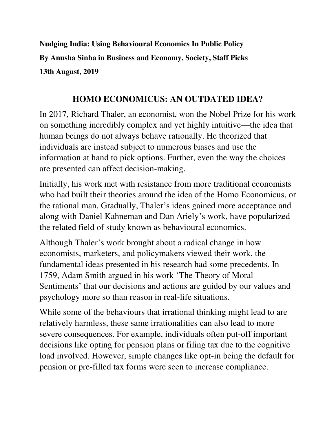**Nudging India: Using Behavioural Economics In Public Policy By Anusha Sinha in Business and Economy, Society, Staff Picks 13th August, 2019** 

#### **HOMO ECONOMICUS: AN OUTDATED IDEA?**

In 2017, Richard Thaler, an economist, won the Nobel Prize for his work on something incredibly complex and yet highly intuitive—the idea that human beings do not always behave rationally. He theorized that individuals are instead subject to numerous biases and use the information at hand to pick options. Further, even the way the choices are presented can affect decision-making.

Initially, his work met with resistance from more traditional economists who had built their theories around the idea of the Homo Economicus, or the rational man. Gradually, Thaler's ideas gained more acceptance and along with Daniel Kahneman and Dan Ariely's work, have popularized the related field of study known as behavioural economics.

Although Thaler's work brought about a radical change in how economists, marketers, and policymakers viewed their work, the fundamental ideas presented in his research had some precedents. In 1759, Adam Smith argued in his work 'The Theory of Moral Sentiments' that our decisions and actions are guided by our values and psychology more so than reason in real-life situations.

While some of the behaviours that irrational thinking might lead to are relatively harmless, these same irrationalities can also lead to more severe consequences. For example, individuals often put-off important decisions like opting for pension plans or filing tax due to the cognitive load involved. However, simple changes like opt-in being the default for pension or pre-filled tax forms were seen to increase compliance.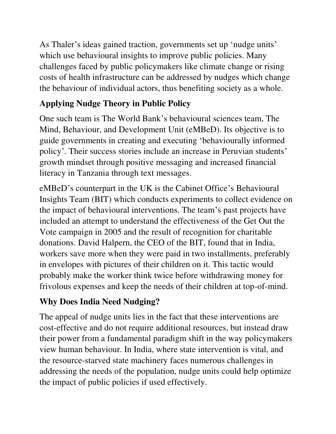As Thaler's ideas gained traction, governments set up 'nudge units' which use behavioural insights to improve public policies. Many challenges faced by public policymakers like climate change or rising costs of health infrastructure can be addressed by nudges which change the behaviour of individual actors, thus benefiting society as a whole.

## **Applying Nudge Theory in Public Policy**

One such team is The World Bank's behavioural sciences team, The Mind, Behaviour, and Development Unit (eMBeD). Its objective is to guide governments in creating and executing 'behaviourally informed policy'. Their success stories include an increase in Peruvian students' growth mindset through positive messaging and increased financial literacy in Tanzania through text messages.

eMBeD's counterpart in the UK is the Cabinet Office's Behavioural Insights Team (BIT) which conducts experiments to collect evidence on the impact of behavioural interventions. The team's past projects have included an attempt to understand the effectiveness of the Get Out the Vote campaign in 2005 and the result of recognition for charitable donations. David Halpern, the CEO of the BIT, found that in India, workers save more when they were paid in two installments, preferably in envelopes with pictures of their children on it. This tactic would probably make the worker think twice before withdrawing money for frivolous expenses and keep the needs of their children at top-of-mind.

### **Why Does India Need Nudging?**

The appeal of nudge units lies in the fact that these interventions are cost-effective and do not require additional resources, but instead draw their power from a fundamental paradigm shift in the way policymakers view human behaviour. In India, where state intervention is vital, and the resource-starved state machinery faces numerous challenges in addressing the needs of the population, nudge units could help optimize the impact of public policies if used effectively.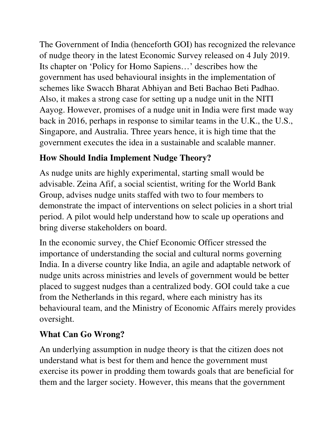The Government of India (henceforth GOI) has recognized the relevance of nudge theory in the latest Economic Survey released on 4 July 2019. Its chapter on 'Policy for Homo Sapiens…' describes how the government has used behavioural insights in the implementation of schemes like Swacch Bharat Abhiyan and Beti Bachao Beti Padhao. Also, it makes a strong case for setting up a nudge unit in the NITI Aayog. However, promises of a nudge unit in India were first made way back in 2016, perhaps in response to similar teams in the U.K., the U.S., Singapore, and Australia. Three years hence, it is high time that the government executes the idea in a sustainable and scalable manner.

### **How Should India Implement Nudge Theory?**

As nudge units are highly experimental, starting small would be advisable. Zeina Afif, a social scientist, writing for the World Bank Group, advises nudge units staffed with two to four members to demonstrate the impact of interventions on select policies in a short trial period. A pilot would help understand how to scale up operations and bring diverse stakeholders on board.

In the economic survey, the Chief Economic Officer stressed the importance of understanding the social and cultural norms governing India. In a diverse country like India, an agile and adaptable network of nudge units across ministries and levels of government would be better placed to suggest nudges than a centralized body. GOI could take a cue from the Netherlands in this regard, where each ministry has its behavioural team, and the Ministry of Economic Affairs merely provides oversight.

# **What Can Go Wrong?**

An underlying assumption in nudge theory is that the citizen does not understand what is best for them and hence the government must exercise its power in prodding them towards goals that are beneficial for them and the larger society. However, this means that the government